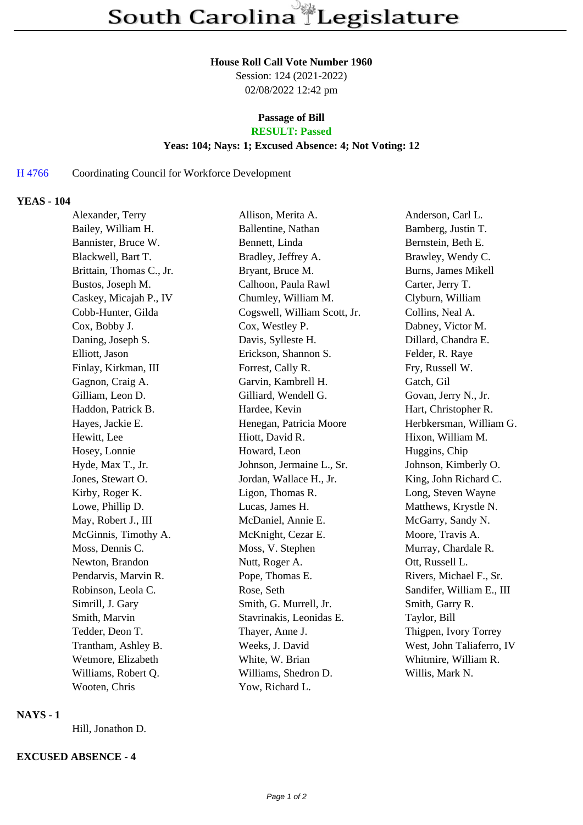#### **House Roll Call Vote Number 1960**

Session: 124 (2021-2022) 02/08/2022 12:42 pm

# **Passage of Bill**

# **RESULT: Passed**

#### **Yeas: 104; Nays: 1; Excused Absence: 4; Not Voting: 12**

## H 4766 Coordinating Council for Workforce Development

### **YEAS - 104**

| Alexander, Terry         | Allison, Merita A.           | Anderson, Carl L.         |
|--------------------------|------------------------------|---------------------------|
| Bailey, William H.       | Ballentine, Nathan           | Bamberg, Justin T.        |
| Bannister, Bruce W.      | Bennett, Linda               | Bernstein, Beth E.        |
| Blackwell, Bart T.       | Bradley, Jeffrey A.          | Brawley, Wendy C.         |
| Brittain, Thomas C., Jr. | Bryant, Bruce M.             | Burns, James Mikell       |
| Bustos, Joseph M.        | Calhoon, Paula Rawl          | Carter, Jerry T.          |
| Caskey, Micajah P., IV   | Chumley, William M.          | Clyburn, William          |
| Cobb-Hunter, Gilda       | Cogswell, William Scott, Jr. | Collins, Neal A.          |
| Cox, Bobby J.            | Cox, Westley P.              | Dabney, Victor M.         |
| Daning, Joseph S.        | Davis, Sylleste H.           | Dillard, Chandra E.       |
| Elliott, Jason           | Erickson, Shannon S.         | Felder, R. Raye           |
| Finlay, Kirkman, III     | Forrest, Cally R.            | Fry, Russell W.           |
| Gagnon, Craig A.         | Garvin, Kambrell H.          | Gatch, Gil                |
| Gilliam, Leon D.         | Gilliard, Wendell G.         | Govan, Jerry N., Jr.      |
| Haddon, Patrick B.       | Hardee, Kevin                | Hart, Christopher R.      |
| Hayes, Jackie E.         | Henegan, Patricia Moore      | Herbkersman, William G.   |
| Hewitt, Lee              | Hiott, David R.              | Hixon, William M.         |
| Hosey, Lonnie            | Howard, Leon                 | Huggins, Chip             |
| Hyde, Max T., Jr.        | Johnson, Jermaine L., Sr.    | Johnson, Kimberly O.      |
| Jones, Stewart O.        | Jordan, Wallace H., Jr.      | King, John Richard C.     |
| Kirby, Roger K.          | Ligon, Thomas R.             | Long, Steven Wayne        |
| Lowe, Phillip D.         | Lucas, James H.              | Matthews, Krystle N.      |
| May, Robert J., III      | McDaniel, Annie E.           | McGarry, Sandy N.         |
| McGinnis, Timothy A.     | McKnight, Cezar E.           | Moore, Travis A.          |
| Moss, Dennis C.          | Moss, V. Stephen             | Murray, Chardale R.       |
| Newton, Brandon          | Nutt, Roger A.               | Ott, Russell L.           |
| Pendarvis, Marvin R.     | Pope, Thomas E.              | Rivers, Michael F., Sr.   |
| Robinson, Leola C.       | Rose, Seth                   | Sandifer, William E., III |
| Simrill, J. Gary         | Smith, G. Murrell, Jr.       | Smith, Garry R.           |
| Smith, Marvin            | Stavrinakis, Leonidas E.     | Taylor, Bill              |
| Tedder, Deon T.          | Thayer, Anne J.              | Thigpen, Ivory Torrey     |
| Trantham, Ashley B.      | Weeks, J. David              | West, John Taliaferro, IV |
| Wetmore, Elizabeth       | White, W. Brian              | Whitmire, William R.      |
| Williams, Robert Q.      | Williams, Shedron D.         | Willis, Mark N.           |
| Wooten, Chris            | Yow, Richard L.              |                           |

#### **NAYS - 1**

Hill, Jonathon D.

### **EXCUSED ABSENCE - 4**